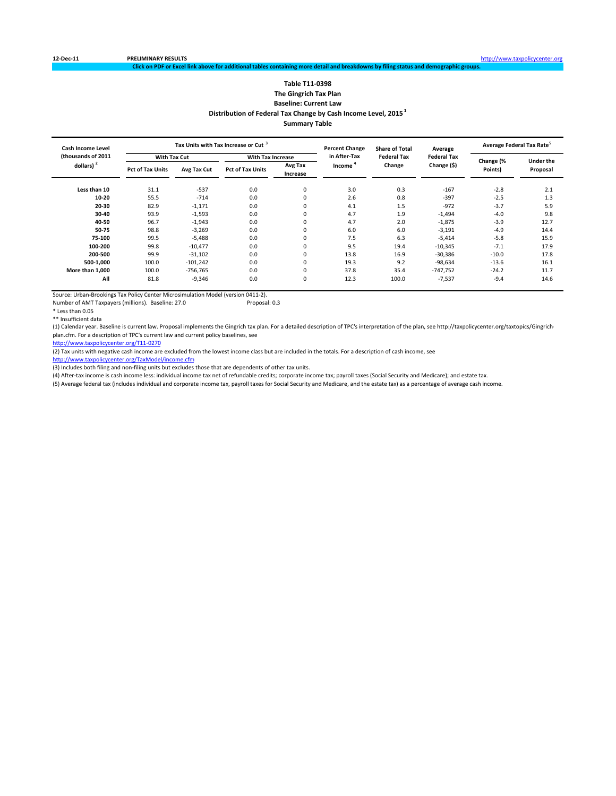### **Table T11‐0398 The Gingrich Tax Plan Baseline: Current Law Distribution of Federal Tax Change by Cash Income Level, 2015 <sup>1</sup> Summary Table**

nal tables containing more detail and breakdowns by filing status and demographic grou

| <b>Cash Income Level</b> |                         |             | Tax Units with Tax Increase or Cut <sup>3</sup> |                     | <b>Percent Change</b> | <b>Share of Total</b> | Average            | Average Federal Tax Rate <sup>5</sup> |                  |
|--------------------------|-------------------------|-------------|-------------------------------------------------|---------------------|-----------------------|-----------------------|--------------------|---------------------------------------|------------------|
| (thousands of 2011       | <b>With Tax Cut</b>     |             | <b>With Tax Increase</b>                        |                     | in After-Tax          | <b>Federal Tax</b>    | <b>Federal Tax</b> |                                       | <b>Under the</b> |
| dollars) $2$             | <b>Pct of Tax Units</b> | Avg Tax Cut | <b>Pct of Tax Units</b>                         | Avg Tax<br>Increase | Income                | Change                | Change (\$)        | Change (%<br>Points)                  | Proposal         |
| Less than 10             | 31.1                    | $-537$      | 0.0                                             | $\mathbf 0$         | 3.0                   | 0.3                   | $-167$             | $-2.8$                                | 2.1              |
| 10-20                    | 55.5                    | $-714$      | 0.0                                             |                     | 2.6                   | 0.8                   | $-397$             | $-2.5$                                | 1.3              |
| 20-30                    | 82.9                    | $-1,171$    | 0.0                                             |                     | 4.1                   | 1.5                   | $-972$             | $-3.7$                                | 5.9              |
| 30-40                    | 93.9                    | $-1,593$    | 0.0                                             |                     | 4.7                   | 1.9                   | $-1,494$           | $-4.0$                                | 9.8              |
| 40-50                    | 96.7                    | $-1,943$    | 0.0                                             |                     | 4.7                   | 2.0                   | $-1,875$           | $-3.9$                                | 12.7             |
| 50-75                    | 98.8                    | $-3,269$    | 0.0                                             |                     | 6.0                   | 6.0                   | $-3,191$           | $-4.9$                                | 14.4             |
| 75-100                   | 99.5                    | $-5,488$    | 0.0                                             |                     | 7.5                   | 6.3                   | $-5,414$           | $-5.8$                                | 15.9             |
| 100-200                  | 99.8                    | $-10,477$   | 0.0                                             |                     | 9.5                   | 19.4                  | $-10,345$          | $-7.1$                                | 17.9             |
| 200-500                  | 99.9                    | $-31,102$   | 0.0                                             |                     | 13.8                  | 16.9                  | $-30,386$          | $-10.0$                               | 17.8             |
| 500-1,000                | 100.0                   | $-101,242$  | 0.0                                             |                     | 19.3                  | 9.2                   | $-98,634$          | $-13.6$                               | 16.1             |
| More than 1,000          | 100.0                   | $-756,765$  | 0.0                                             |                     | 37.8                  | 35.4                  | $-747,752$         | $-24.2$                               | 11.7             |
| All                      | 81.8                    | $-9,346$    | 0.0                                             | $\mathbf 0$         | 12.3                  | 100.0                 | $-7,537$           | $-9.4$                                | 14.6             |

Source: Urban-Brookings Tax Policy Center Microsimulation Model (version 0411-2).<br>Number of AMT Taxpayers (millions). Baseline: 27.0 Proposal: 0.3 Number of AMT Taxpayers (millions). Baseline: 27.0

\* Less than 0.05

\*\* Insufficient data

(1) Calendar year. Baseline is current law. Proposal implements the Gingrich tax plan. For a detailed description of TPC's interpretation of the plan, see http://taxpolicycenter.org/taxtopics/Gingrich‐ plan.cfm. For a description of TPC's current law and current policy baselines, see

http://www.taxpolicycenter.org/T11‐0270

(2) Tax units with negative cash income are excluded from the lowest income class but are included in the totals. For a description of cash income, see

http://www.taxpolicycenter.org/TaxModel/income.cfm

(3) Includes both filing and non-filing units but excludes those that are dependents of other tax units.

(4) After‐tax income is cash income less: individual income tax net of refundable credits; corporate income tax; payroll taxes (Social Security and Medicare); and estate tax.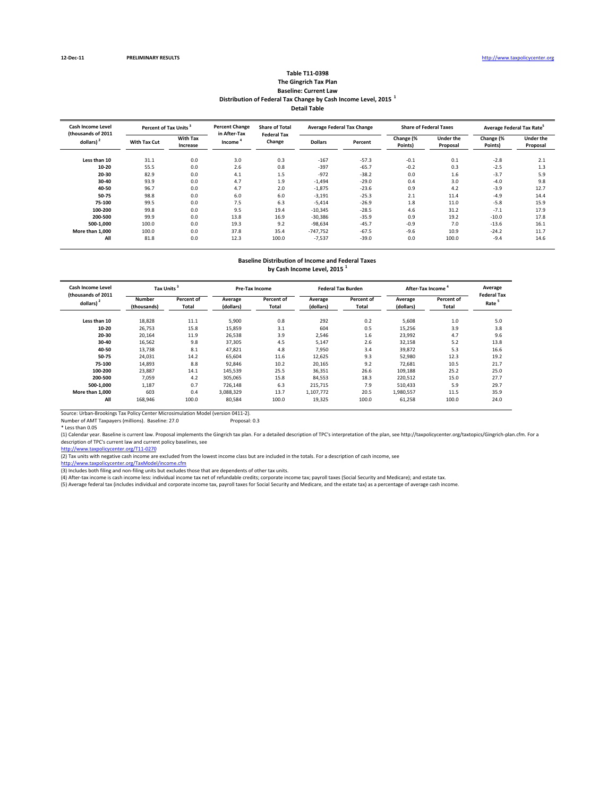#### **Table T11‐0398 The Gingrich Tax Plan Baseline: Current Law Distribution of Federal Tax Change by Cash Income Level, 2015 <sup>1</sup> Detail Table**

| <b>Cash Income Level</b><br>(thousands of 2011 | Percent of Tax Units <sup>3</sup> |                             | <b>Percent Change</b><br>in After-Tax | <b>Share of Total</b><br><b>Federal Tax</b> |                | <b>Average Federal Tax Change</b> | <b>Share of Federal Taxes</b> |                              | Average Federal Tax Rate <sup>5</sup> |                              |
|------------------------------------------------|-----------------------------------|-----------------------------|---------------------------------------|---------------------------------------------|----------------|-----------------------------------|-------------------------------|------------------------------|---------------------------------------|------------------------------|
| dollars) <sup>2</sup>                          | With Tax Cut                      | <b>With Tax</b><br>Increase | Income                                | Change                                      | <b>Dollars</b> | Percent                           | Change (%<br>Points)          | <b>Under the</b><br>Proposal | Change (%<br>Points)                  | <b>Under the</b><br>Proposal |
| Less than 10                                   | 31.1                              | 0.0                         | 3.0                                   | 0.3                                         | $-167$         | $-57.3$                           | $-0.1$                        | 0.1                          | $-2.8$                                | 2.1                          |
| $10 - 20$                                      | 55.5                              | 0.0                         | 2.6                                   | 0.8                                         | $-397$         | $-65.7$                           | $-0.2$                        | 0.3                          | $-2.5$                                | 1.3                          |
| 20-30                                          | 82.9                              | 0.0                         | 4.1                                   | 1.5                                         | $-972$         | $-38.2$                           | 0.0                           | 1.6                          | $-3.7$                                | 5.9                          |
| 30-40                                          | 93.9                              | 0.0                         | 4.7                                   | 1.9                                         | $-1,494$       | $-29.0$                           | 0.4                           | 3.0                          | $-4.0$                                | 9.8                          |
| 40-50                                          | 96.7                              | 0.0                         | 4.7                                   | 2.0                                         | $-1,875$       | $-23.6$                           | 0.9                           | 4.2                          | $-3.9$                                | 12.7                         |
| 50-75                                          | 98.8                              | 0.0                         | 6.0                                   | 6.0                                         | $-3,191$       | $-25.3$                           | 2.1                           | 11.4                         | $-4.9$                                | 14.4                         |
| 75-100                                         | 99.5                              | 0.0                         | 7.5                                   | 6.3                                         | $-5,414$       | $-26.9$                           | 1.8                           | 11.0                         | $-5.8$                                | 15.9                         |
| 100-200                                        | 99.8                              | 0.0                         | 9.5                                   | 19.4                                        | $-10,345$      | $-28.5$                           | 4.6                           | 31.2                         | $-7.1$                                | 17.9                         |
| 200-500                                        | 99.9                              | 0.0                         | 13.8                                  | 16.9                                        | $-30,386$      | $-35.9$                           | 0.9                           | 19.2                         | $-10.0$                               | 17.8                         |
| 500-1.000                                      | 100.0                             | 0.0                         | 19.3                                  | 9.2                                         | $-98,634$      | $-45.7$                           | $-0.9$                        | 7.0                          | $-13.6$                               | 16.1                         |
| More than 1.000                                | 100.0                             | 0.0                         | 37.8                                  | 35.4                                        | $-747,752$     | $-67.5$                           | $-9.6$                        | 10.9                         | $-24.2$                               | 11.7                         |
| All                                            | 81.8                              | 0.0                         | 12.3                                  | 100.0                                       | $-7,537$       | $-39.0$                           | 0.0                           | 100.0                        | $-9.4$                                | 14.6                         |

### **Baseline Distribution of Income and Federal Taxes**

**by Cash Income Level, 2015 <sup>1</sup>**

| <b>Cash Income Level</b><br>(thousands of 2011 | Tax Units             |                     |                      | <b>Pre-Tax Income</b>      |                      | <b>Federal Tax Burden</b> | <b>After-Tax Income</b> | Average<br><b>Federal Tax</b> |      |
|------------------------------------------------|-----------------------|---------------------|----------------------|----------------------------|----------------------|---------------------------|-------------------------|-------------------------------|------|
| dollars) <sup>2</sup>                          | Number<br>(thousands) | Percent of<br>Total | Average<br>(dollars) | Percent of<br><b>Total</b> | Average<br>(dollars) | Percent of<br>Total       | Average<br>(dollars)    | Percent of<br>Total           | Rate |
| Less than 10                                   | 18,828                | 11.1                | 5,900                | 0.8                        | 292                  | 0.2                       | 5,608                   | $1.0$                         | 5.0  |
| 10-20                                          | 26,753                | 15.8                | 15,859               | 3.1                        | 604                  | 0.5                       | 15,256                  | 3.9                           | 3.8  |
| 20-30                                          | 20,164                | 11.9                | 26,538               | 3.9                        | 2,546                | 1.6                       | 23.992                  | 4.7                           | 9.6  |
| 30-40                                          | 16,562                | 9.8                 | 37.305               | 4.5                        | 5,147                | 2.6                       | 32.158                  | 5.2                           | 13.8 |
| 40-50                                          | 13.738                | 8.1                 | 47.821               | 4.8                        | 7.950                | 3.4                       | 39.872                  | 5.3                           | 16.6 |
| 50-75                                          | 24.031                | 14.2                | 65.604               | 11.6                       | 12,625               | 9.3                       | 52,980                  | 12.3                          | 19.2 |
| 75-100                                         | 14,893                | 8.8                 | 92,846               | 10.2                       | 20,165               | 9.2                       | 72.681                  | 10.5                          | 21.7 |
| 100-200                                        | 23,887                | 14.1                | 145,539              | 25.5                       | 36,351               | 26.6                      | 109,188                 | 25.2                          | 25.0 |
| 200-500                                        | 7,059                 | 4.2                 | 305.065              | 15.8                       | 84,553               | 18.3                      | 220,512                 | 15.0                          | 27.7 |
| 500-1.000                                      | 1,187                 | 0.7                 | 726.148              | 6.3                        | 215.715              | 7.9                       | 510.433                 | 5.9                           | 29.7 |
| More than 1.000                                | 603                   | 0.4                 | 3,088,329            | 13.7                       | 1,107,772            | 20.5                      | 1,980,557               | 11.5                          | 35.9 |
| All                                            | 168,946               | 100.0               | 80,584               | 100.0                      | 19,325               | 100.0                     | 61,258                  | 100.0                         | 24.0 |

Source: Urban‐Brookings Tax Policy Center Microsimulation Model (version 0411‐2). Number of AMT Taxpayers (millions). Baseline: 27.0 Proposal: 0.3

\* Less than 0.05

(1) Calendar year. Baseline is current law. Proposal implements the Gingrich tax plan. For a detailed description of TPC's interpretation of the plan, see http://taxpolicycenter.org/taxtopics/Gingrich‐plan.cfm. For a description of TPC's current law and current policy baselines, see<br>http://www.taxpolicycenter.org/T11-0270

(2) Tax units with negative cash income are excluded from the lowest income class but are included in the totals. For a description of cash income, see

<u>http://www.taxpolicycenter.org/TaxModel/income.cfm</u><br>(3) Includes both filing and non-filing units but excludes those that are dependents of other tax units.

(4) After-tax income is cash income less: individual income tax net of refundable credits; corporate income tax; payroll taxes (Social Security and Medicare); and estate tax.<br>(5) Average federal tax (includes individual an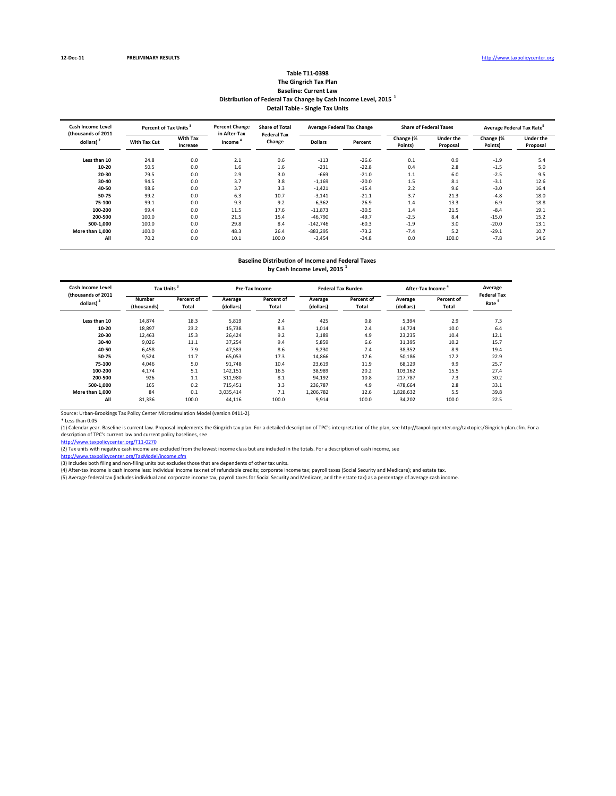#### **Table T11‐0398 The Gingrich Tax Plan Baseline: Current Law Distribution of Federal Tax Change by Cash Income Level, 2015 <sup>1</sup> Detail Table ‐ Single Tax Units**

| <b>Cash Income Level</b><br>(thousands of 2011 | Percent of Tax Units <sup>3</sup> |                             | <b>Percent Change</b><br>in After-Tax | <b>Share of Total</b><br><b>Federal Tax</b> |                | <b>Average Federal Tax Change</b> | <b>Share of Federal Taxes</b> |                              | Average Federal Tax Rate <sup>5</sup> |                              |
|------------------------------------------------|-----------------------------------|-----------------------------|---------------------------------------|---------------------------------------------|----------------|-----------------------------------|-------------------------------|------------------------------|---------------------------------------|------------------------------|
| dollars) <sup>2</sup>                          | With Tax Cut                      | <b>With Tax</b><br>Increase | Change<br>Income <sup>'</sup>         |                                             | <b>Dollars</b> | Percent                           | Change (%<br>Points)          | <b>Under the</b><br>Proposal | Change (%<br>Points)                  | <b>Under the</b><br>Proposal |
| Less than 10                                   | 24.8                              | 0.0                         | 2.1                                   | 0.6                                         | $-113$         | $-26.6$                           | 0.1                           | 0.9                          | $-1.9$                                | 5.4                          |
| $10 - 20$                                      | 50.5                              | 0.0                         | 1.6                                   | 1.6                                         | $-231$         | $-22.8$                           | 0.4                           | 2.8                          | $-1.5$                                | 5.0                          |
| 20-30                                          | 79.5                              | 0.0                         | 2.9                                   | 3.0                                         | $-669$         | $-21.0$                           | 1.1                           | 6.0                          | $-2.5$                                | 9.5                          |
| 30-40                                          | 94.5                              | 0.0                         | 3.7                                   | 3.8                                         | $-1,169$       | $-20.0$                           | 1.5                           | 8.1                          | $-3.1$                                | 12.6                         |
| 40-50                                          | 98.6                              | 0.0                         | 3.7                                   | 3.3                                         | $-1,421$       | $-15.4$                           | 2.2                           | 9.6                          | $-3.0$                                | 16.4                         |
| 50-75                                          | 99.2                              | 0.0                         | 6.3                                   | 10.7                                        | $-3,141$       | $-21.1$                           | 3.7                           | 21.3                         | $-4.8$                                | 18.0                         |
| 75-100                                         | 99.1                              | 0.0                         | 9.3                                   | 9.2                                         | $-6,362$       | $-26.9$                           | 1.4                           | 13.3                         | $-6.9$                                | 18.8                         |
| 100-200                                        | 99.4                              | 0.0                         | 11.5                                  | 17.6                                        | $-11,873$      | $-30.5$                           | 1.4                           | 21.5                         | $-8.4$                                | 19.1                         |
| 200-500                                        | 100.0                             | 0.0                         | 21.5                                  | 15.4                                        | $-46,790$      | $-49.7$                           | $-2.5$                        | 8.4                          | $-15.0$                               | 15.2                         |
| 500-1.000                                      | 100.0                             | 0.0                         | 29.8                                  | 8.4                                         | $-142,746$     | $-60.3$                           | $-1.9$                        | 3.0                          | $-20.0$                               | 13.1                         |
| More than 1.000                                | 100.0                             | 0.0                         | 48.3                                  | 26.4                                        | $-883,295$     | $-73.2$                           | $-7.4$                        | 5.2                          | $-29.1$                               | 10.7                         |
| All                                            | 70.2                              | 0.0                         | 10.1                                  | 100.0                                       | $-3,454$       | $-34.8$                           | 0.0                           | 100.0                        | $-7.8$                                | 14.6                         |

## **Baseline Distribution of Income and Federal Taxes**

**by Cash Income Level, 2015 <sup>1</sup>**

| Cash Income Level<br>(thousands of 2011 | Tax Units <sup>3</sup>       |                     |                      | <b>Pre-Tax Income</b> |                      | <b>Federal Tax Burden</b> | After-Tax Income     | Average<br><b>Federal Tax</b> |                   |
|-----------------------------------------|------------------------------|---------------------|----------------------|-----------------------|----------------------|---------------------------|----------------------|-------------------------------|-------------------|
| dollars)                                | <b>Number</b><br>(thousands) | Percent of<br>Total | Average<br>(dollars) | Percent of<br>Total   | Average<br>(dollars) | Percent of<br>Total       | Average<br>(dollars) | Percent of<br>Total           | Rate <sup>5</sup> |
| Less than 10                            | 14,874                       | 18.3                | 5,819                | 2.4                   | 425                  | 0.8                       | 5,394                | 2.9                           | 7.3               |
| $10 - 20$                               | 18,897                       | 23.2                | 15,738               | 8.3                   | 1,014                | 2.4                       | 14,724               | 10.0                          | 6.4               |
| 20-30                                   | 12.463                       | 15.3                | 26.424               | 9.2                   | 3,189                | 4.9                       | 23.235               | 10.4                          | 12.1              |
| 30-40                                   | 9.026                        | 11.1                | 37.254               | 9.4                   | 5,859                | 6.6                       | 31,395               | 10.2                          | 15.7              |
| 40-50                                   | 6,458                        | 7.9                 | 47,583               | 8.6                   | 9,230                | 7.4                       | 38,352               | 8.9                           | 19.4              |
| 50-75                                   | 9,524                        | 11.7                | 65,053               | 17.3                  | 14,866               | 17.6                      | 50,186               | 17.2                          | 22.9              |
| 75-100                                  | 4,046                        | 5.0                 | 91,748               | 10.4                  | 23,619               | 11.9                      | 68,129               | 9.9                           | 25.7              |
| 100-200                                 | 4,174                        | 5.1                 | 142,151              | 16.5                  | 38,989               | 20.2                      | 103,162              | 15.5                          | 27.4              |
| 200-500                                 | 926                          | 1.1                 | 311,980              | 8.1                   | 94,192               | 10.8                      | 217,787              | 7.3                           | 30.2              |
| 500-1.000                               | 165                          | 0.2                 | 715,451              | 3.3                   | 236,787              | 4.9                       | 478,664              | 2.8                           | 33.1              |
| More than 1.000                         | 84                           | 0.1                 | 3,035,414            | 7.1                   | 1,206,782            | 12.6                      | 1,828,632            | 5.5                           | 39.8              |
| All                                     | 81,336                       | 100.0               | 44,116               | 100.0                 | 9,914                | 100.0                     | 34,202               | 100.0                         | 22.5              |

Source: Urban‐Brookings Tax Policy Center Microsimulation Model (version 0411‐2).

\* Less than 0.05<br>(1) Calendar year. Baseline is current law. Proposal implements the Gingrich tax plan. For a detailed description of TPC's interpretation of the plan, see http://taxpolicycenter.org/taxtopics/Gingrich-plan description of TPC's current law and current policy baselines, see

http://www.taxpolicycenter.org/T11‐0270<br>(2) Tax units with negative cash income are excluded from the lowest income class but are included in the totals. For a description of cash income, see

http://www.taxpolicycenter.org/TaxModel/income.cfm

(3) Includes both filing and non-filing units but excludes those that are dependents of other tax units.<br>(4) After-tax income is cash income less: individual income tax net of refundable credits; corporate income tax; payr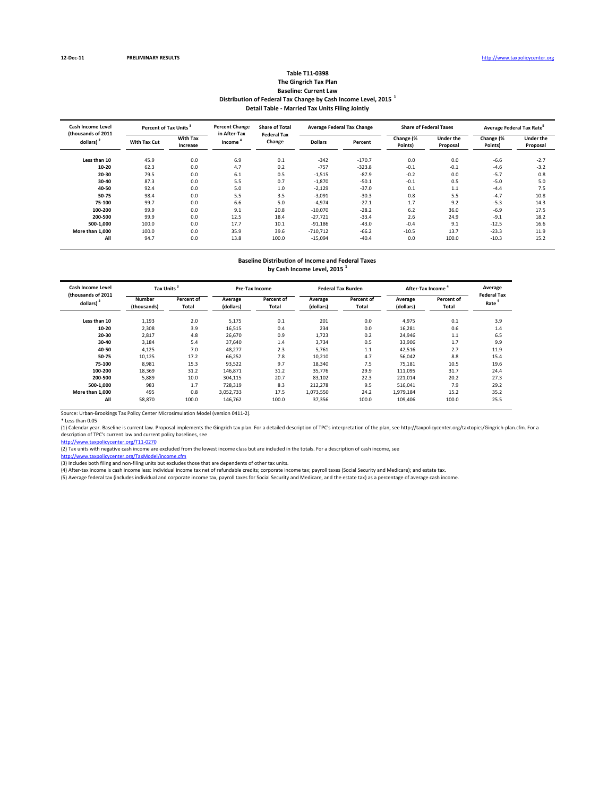#### **Table T11‐0398 The Gingrich Tax Plan Baseline: Current Law Distribution of Federal Tax Change by Cash Income Level, 2015 <sup>1</sup> Detail Table ‐ Married Tax Units Filing Jointly**

| <b>Cash Income Level</b><br>(thousands of 2011 | Percent of Tax Units <sup>3</sup> |                             | <b>Percent Change</b><br>in After-Tax | <b>Share of Total</b><br><b>Federal Tax</b> | <b>Average Federal Tax Change</b> |          |                      | <b>Share of Federal Taxes</b> | Average Federal Tax Rate <sup>5</sup> |                              |
|------------------------------------------------|-----------------------------------|-----------------------------|---------------------------------------|---------------------------------------------|-----------------------------------|----------|----------------------|-------------------------------|---------------------------------------|------------------------------|
| dollars) $2$                                   | With Tax Cut                      | <b>With Tax</b><br>Increase | Income <sup>'</sup>                   | Change                                      | <b>Dollars</b>                    | Percent  | Change (%<br>Points) | <b>Under the</b><br>Proposal  | Change (%<br>Points)                  | <b>Under the</b><br>Proposal |
| Less than 10                                   | 45.9                              | 0.0                         | 6.9                                   | 0.1                                         | $-342$                            | $-170.7$ | 0.0                  | 0.0                           | $-6.6$                                | $-2.7$                       |
| $10 - 20$                                      | 62.3                              | 0.0                         | 4.7                                   | 0.2                                         | $-757$                            | $-323.8$ | $-0.1$               | $-0.1$                        | $-4.6$                                | $-3.2$                       |
| 20-30                                          | 79.5                              | 0.0                         | 6.1                                   | 0.5                                         | $-1,515$                          | $-87.9$  | $-0.2$               | 0.0                           | $-5.7$                                | 0.8                          |
| 30-40                                          | 87.3                              | 0.0                         | 5.5                                   | 0.7                                         | $-1,870$                          | $-50.1$  | $-0.1$               | 0.5                           | $-5.0$                                | 5.0                          |
| 40-50                                          | 92.4                              | 0.0                         | 5.0                                   | 1.0                                         | $-2,129$                          | $-37.0$  | 0.1                  | 1.1                           | $-4.4$                                | 7.5                          |
| 50-75                                          | 98.4                              | 0.0                         | 5.5                                   | 3.5                                         | $-3,091$                          | $-30.3$  | 0.8                  | 5.5                           | $-4.7$                                | 10.8                         |
| 75-100                                         | 99.7                              | 0.0                         | 6.6                                   | 5.0                                         | $-4,974$                          | $-27.1$  | 1.7                  | 9.2                           | $-5.3$                                | 14.3                         |
| 100-200                                        | 99.9                              | 0.0                         | 9.1                                   | 20.8                                        | $-10,070$                         | $-28.2$  | 6.2                  | 36.0                          | $-6.9$                                | 17.5                         |
| 200-500                                        | 99.9                              | 0.0                         | 12.5                                  | 18.4                                        | $-27,721$                         | $-33.4$  | 2.6                  | 24.9                          | $-9.1$                                | 18.2                         |
| 500-1.000                                      | 100.0                             | 0.0                         | 17.7                                  | 10.1                                        | $-91,186$                         | $-43.0$  | $-0.4$               | 9.1                           | $-12.5$                               | 16.6                         |
| More than 1.000                                | 100.0                             | 0.0                         | 35.9                                  | 39.6                                        | $-710,712$                        | $-66.2$  | $-10.5$              | 13.7                          | $-23.3$                               | 11.9                         |
| All                                            | 94.7                              | 0.0                         | 13.8                                  | 100.0                                       | $-15,094$                         | $-40.4$  | 0.0                  | 100.0                         | $-10.3$                               | 15.2                         |

# **Baseline Distribution of Income and Federal Taxes**

**by Cash Income Level, 2015 <sup>1</sup>**

| Cash Income Level<br>(thousands of 2011 | <b>Tax Units</b>      |                     |                      | <b>Pre-Tax Income</b> |                      | <b>Federal Tax Burden</b> | After-Tax Income     | Average<br><b>Federal Tax</b> |                   |
|-----------------------------------------|-----------------------|---------------------|----------------------|-----------------------|----------------------|---------------------------|----------------------|-------------------------------|-------------------|
| dollars)                                | Number<br>(thousands) | Percent of<br>Total | Average<br>(dollars) | Percent of<br>Total   | Average<br>(dollars) | Percent of<br>Total       | Average<br>(dollars) | Percent of<br>Total           | Rate <sup>5</sup> |
| Less than 10                            | 1,193                 | 2.0                 | 5,175                | 0.1                   | 201                  | 0.0                       | 4,975                | 0.1                           | 3.9               |
| $10 - 20$                               | 2,308                 | 3.9                 | 16,515               | 0.4                   | 234                  | 0.0                       | 16,281               | 0.6                           | 1.4               |
| 20-30                                   | 2,817                 | 4.8                 | 26.670               | 0.9                   | 1,723                | 0.2                       | 24.946               | 1.1                           | 6.5               |
| 30-40                                   | 3.184                 | 5.4                 | 37.640               | 1.4                   | 3.734                | 0.5                       | 33.906               | 1.7                           | 9.9               |
| 40-50                                   | 4,125                 | 7.0                 | 48,277               | 2.3                   | 5,761                | 1.1                       | 42,516               | 2.7                           | 11.9              |
| 50-75                                   | 10.125                | 17.2                | 66,252               | 7.8                   | 10,210               | 4.7                       | 56,042               | 8.8                           | 15.4              |
| 75-100                                  | 8,981                 | 15.3                | 93,522               | 9.7                   | 18,340               | 7.5                       | 75,181               | 10.5                          | 19.6              |
| 100-200                                 | 18,369                | 31.2                | 146,871              | 31.2                  | 35,776               | 29.9                      | 111,095              | 31.7                          | 24.4              |
| 200-500                                 | 5,889                 | 10.0                | 304,115              | 20.7                  | 83,102               | 22.3                      | 221,014              | 20.2                          | 27.3              |
| 500-1.000                               | 983                   | 1.7                 | 728,319              | 8.3                   | 212,278              | 9.5                       | 516,041              | 7.9                           | 29.2              |
| More than 1,000                         | 495                   | 0.8                 | 3.052.733            | 17.5                  | 1,073,550            | 24.2                      | 1,979,184            | 15.2                          | 35.2              |
| All                                     | 58,870                | 100.0               | 146,762              | 100.0                 | 37,356               | 100.0                     | 109,406              | 100.0                         | 25.5              |

Source: Urban‐Brookings Tax Policy Center Microsimulation Model (version 0411‐2).

\* Less than 0.05<br>(1) Calendar year. Baseline is current law. Proposal implements the Gingrich tax plan. For a detailed description of TPC's interpretation of the plan, see http://taxpolicycenter.org/taxtopics/Gingrich-plan description of TPC's current law and current policy baselines, see

http://www.taxpolicycenter.org/T11‐0270<br>(2) Tax units with negative cash income are excluded from the lowest income class but are included in the totals. For a description of cash income, see

http://www.taxpolicycenter.org/TaxModel/income.cfm

(3) Includes both filing and non-filing units but excludes those that are dependents of other tax units.<br>(4) After-tax income is cash income less: individual income tax net of refundable credits; corporate income tax; payr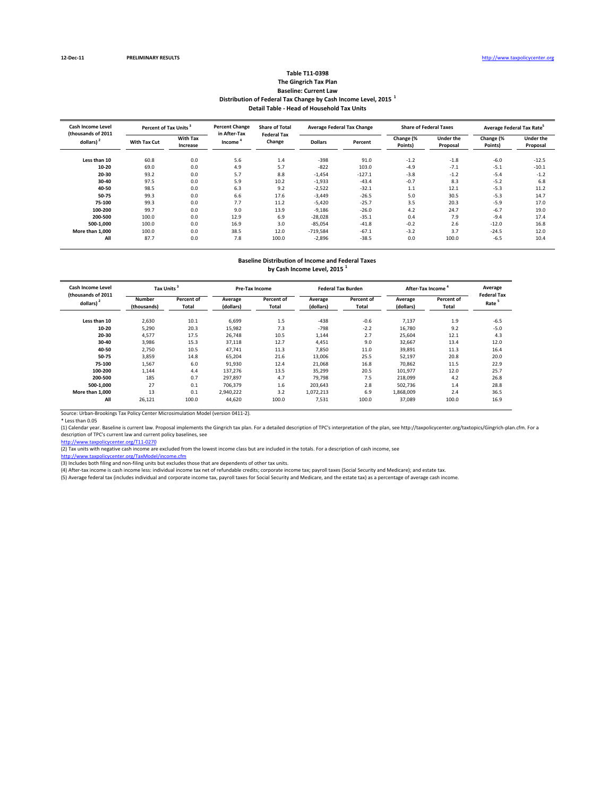#### **Table T11‐0398 The Gingrich Tax Plan Baseline: Current Law Distribution of Federal Tax Change by Cash Income Level, 2015 <sup>1</sup> Detail Table ‐ Head of Household Tax Units**

| <b>Cash Income Level</b><br>(thousands of 2011 | Percent of Tax Units <sup>3</sup> |                             | <b>Percent Change</b><br>in After-Tax | <b>Share of Total</b><br><b>Federal Tax</b> |                | <b>Average Federal Tax Change</b> |                      | <b>Share of Federal Taxes</b> | Average Federal Tax Rate <sup>5</sup> |                              |
|------------------------------------------------|-----------------------------------|-----------------------------|---------------------------------------|---------------------------------------------|----------------|-----------------------------------|----------------------|-------------------------------|---------------------------------------|------------------------------|
| dollars) <sup>2</sup>                          | <b>With Tax Cut</b>               | <b>With Tax</b><br>Increase | Income <sup>*</sup>                   | Change                                      | <b>Dollars</b> | Percent                           | Change (%<br>Points) | <b>Under the</b><br>Proposal  | Change (%<br>Points)                  | <b>Under the</b><br>Proposal |
| Less than 10                                   | 60.8                              | 0.0                         | 5.6                                   | 1.4                                         | $-398$         | 91.0                              | $-1.2$               | $-1.8$                        | $-6.0$                                | $-12.5$                      |
| $10 - 20$                                      | 69.0                              | 0.0                         | 4.9                                   | 5.7                                         | $-822$         | 103.0                             | $-4.9$               | $-7.1$                        | $-5.1$                                | $-10.1$                      |
| 20-30                                          | 93.2                              | 0.0                         | 5.7                                   | 8.8                                         | $-1,454$       | $-127.1$                          | $-3.8$               | $-1.2$                        | $-5.4$                                | $-1.2$                       |
| 30-40                                          | 97.5                              | 0.0                         | 5.9                                   | 10.2                                        | $-1,933$       | $-43.4$                           | $-0.7$               | 8.3                           | $-5.2$                                | 6.8                          |
| 40-50                                          | 98.5                              | 0.0                         | 6.3                                   | 9.2                                         | $-2,522$       | $-32.1$                           | 1.1                  | 12.1                          | $-5.3$                                | 11.2                         |
| 50-75                                          | 99.3                              | 0.0                         | 6.6                                   | 17.6                                        | $-3,449$       | $-26.5$                           | 5.0                  | 30.5                          | $-5.3$                                | 14.7                         |
| 75-100                                         | 99.3                              | 0.0                         | 7.7                                   | 11.2                                        | $-5,420$       | $-25.7$                           | 3.5                  | 20.3                          | $-5.9$                                | 17.0                         |
| 100-200                                        | 99.7                              | 0.0                         | 9.0                                   | 13.9                                        | $-9,186$       | $-26.0$                           | 4.2                  | 24.7                          | $-6.7$                                | 19.0                         |
| 200-500                                        | 100.0                             | 0.0                         | 12.9                                  | 6.9                                         | $-28,028$      | $-35.1$                           | 0.4                  | 7.9                           | $-9.4$                                | 17.4                         |
| 500-1,000                                      | 100.0                             | 0.0                         | 16.9                                  | 3.0                                         | $-85,054$      | $-41.8$                           | $-0.2$               | 2.6                           | $-12.0$                               | 16.8                         |
| More than 1.000                                | 100.0                             | 0.0                         | 38.5                                  | 12.0                                        | $-719,584$     | $-67.1$                           | $-3.2$               | 3.7                           | $-24.5$                               | 12.0                         |
| All                                            | 87.7                              | 0.0                         | 7.8                                   | 100.0                                       | $-2.896$       | $-38.5$                           | 0.0                  | 100.0                         | $-6.5$                                | 10.4                         |

# **Baseline Distribution of Income and Federal Taxes**

**by Cash Income Level, 2015 <sup>1</sup>**

| Cash Income Level<br>(thousands of 2011 | <b>Tax Units</b>      |                     |                      | <b>Pre-Tax Income</b> |                      | <b>Federal Tax Burden</b> | After-Tax Income     | Average<br><b>Federal Tax</b> |                   |
|-----------------------------------------|-----------------------|---------------------|----------------------|-----------------------|----------------------|---------------------------|----------------------|-------------------------------|-------------------|
| dollars)                                | Number<br>(thousands) | Percent of<br>Total | Average<br>(dollars) | Percent of<br>Total   | Average<br>(dollars) | Percent of<br>Total       | Average<br>(dollars) | Percent of<br>Total           | Rate <sup>5</sup> |
| Less than 10                            | 2,630                 | 10.1                | 6,699                | 1.5                   | $-438$               | $-0.6$                    | 7,137                | 1.9                           | $-6.5$            |
| $10 - 20$                               | 5,290                 | 20.3                | 15,982               | 7.3                   | $-798$               | $-2.2$                    | 16.780               | 9.2                           | $-5.0$            |
| 20-30                                   | 4,577                 | 17.5                | 26.748               | 10.5                  | 1,144                | 2.7                       | 25.604               | 12.1                          | 4.3               |
| 30-40                                   | 3.986                 | 15.3                | 37.118               | 12.7                  | 4.451                | 9.0                       | 32.667               | 13.4                          | 12.0              |
| 40-50                                   | 2,750                 | 10.5                | 47.741               | 11.3                  | 7,850                | 11.0                      | 39,891               | 11.3                          | 16.4              |
| 50-75                                   | 3,859                 | 14.8                | 65.204               | 21.6                  | 13,006               | 25.5                      | 52,197               | 20.8                          | 20.0              |
| 75-100                                  | 1,567                 | 6.0                 | 91,930               | 12.4                  | 21,068               | 16.8                      | 70.862               | 11.5                          | 22.9              |
| 100-200                                 | 1,144                 | 4.4                 | 137,276              | 13.5                  | 35,299               | 20.5                      | 101,977              | 12.0                          | 25.7              |
| 200-500                                 | 185                   | 0.7                 | 297,897              | 4.7                   | 79,798               | 7.5                       | 218,099              | 4.2                           | 26.8              |
| 500-1.000                               | 27                    | 0.1                 | 706,379              | 1.6                   | 203,643              | 2.8                       | 502,736              | 1.4                           | 28.8              |
| More than 1,000                         | 13                    | 0.1                 | 2,940,222            | 3.2                   | 1,072,213            | 6.9                       | 1,868,009            | 2.4                           | 36.5              |
| All                                     | 26,121                | 100.0               | 44,620               | 100.0                 | 7,531                | 100.0                     | 37.089               | 100.0                         | 16.9              |

Source: Urban‐Brookings Tax Policy Center Microsimulation Model (version 0411‐2).

\* Less than 0.05<br>(1) Calendar year. Baseline is current law. Proposal implements the Gingrich tax plan. For a detailed description of TPC's interpretation of the plan, see http://taxpolicycenter.org/taxtopics/Gingrich-plan description of TPC's current law and current policy baselines, see

http://www.taxpolicycenter.org/T11‐0270<br>(2) Tax units with negative cash income are excluded from the lowest income class but are included in the totals. For a description of cash income, see

http://www.taxpolicycenter.org/TaxModel/income.cfm

(3) Includes both filing and non-filing units but excludes those that are dependents of other tax units.<br>(4) After-tax income is cash income less: individual income tax net of refundable credits; corporate income tax; payr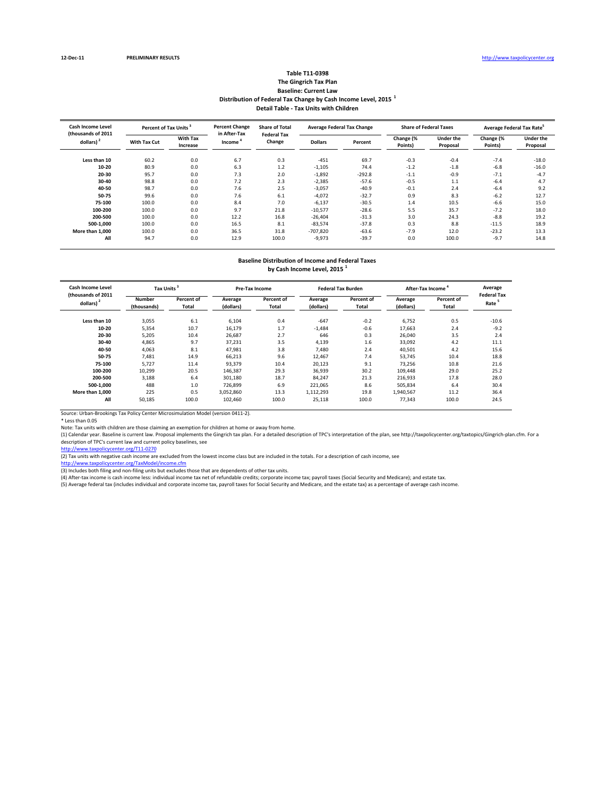#### **Table T11‐0398 The Gingrich Tax Plan Baseline: Current Law Distribution of Federal Tax Change by Cash Income Level, 2015 <sup>1</sup> Detail Table ‐ Tax Units with Children**

| Cash Income Level<br>(thousands of 2011 | Percent of Tax Units <sup>3</sup> |                             | <b>Percent Change</b><br>in After-Tax | <b>Share of Total</b><br><b>Federal Tax</b> | <b>Average Federal Tax Change</b> |          | <b>Share of Federal Taxes</b> |                              | Average Federal Tax Rate <sup>5</sup> |                              |
|-----------------------------------------|-----------------------------------|-----------------------------|---------------------------------------|---------------------------------------------|-----------------------------------|----------|-------------------------------|------------------------------|---------------------------------------|------------------------------|
| dollars) <sup>2</sup>                   | With Tax Cut                      | <b>With Tax</b><br>Increase | Income <sup>'</sup>                   | Change                                      | <b>Dollars</b>                    | Percent  | Change (%<br>Points)          | <b>Under the</b><br>Proposal | Change (%<br>Points)                  | <b>Under the</b><br>Proposal |
| Less than 10                            | 60.2                              | 0.0                         | 6.7                                   | 0.3                                         | $-451$                            | 69.7     | $-0.3$                        | $-0.4$                       | $-7.4$                                | $-18.0$                      |
| $10 - 20$                               | 80.9                              | 0.0                         | 6.3                                   | 1.2                                         | $-1,105$                          | 74.4     | $-1.2$                        | $-1.8$                       | $-6.8$                                | $-16.0$                      |
| 20-30                                   | 95.7                              | 0.0                         | 7.3                                   | 2.0                                         | $-1,892$                          | $-292.8$ | $-1.1$                        | $-0.9$                       | $-7.1$                                | $-4.7$                       |
| 30-40                                   | 98.8                              | 0.0                         | 7.2                                   | 2.3                                         | $-2,385$                          | $-57.6$  | $-0.5$                        | 1.1                          | $-6.4$                                | 4.7                          |
| 40-50                                   | 98.7                              | 0.0                         | 7.6                                   | 2.5                                         | $-3,057$                          | $-40.9$  | $-0.1$                        | 2.4                          | $-6.4$                                | 9.2                          |
| 50-75                                   | 99.6                              | 0.0                         | 7.6                                   | 6.1                                         | $-4,072$                          | $-32.7$  | 0.9                           | 8.3                          | $-6.2$                                | 12.7                         |
| 75-100                                  | 100.0                             | 0.0                         | 8.4                                   | 7.0                                         | $-6,137$                          | $-30.5$  | 1.4                           | 10.5                         | $-6.6$                                | 15.0                         |
| 100-200                                 | 100.0                             | 0.0                         | 9.7                                   | 21.8                                        | $-10,577$                         | $-28.6$  | 5.5                           | 35.7                         | $-7.2$                                | 18.0                         |
| 200-500                                 | 100.0                             | 0.0                         | 12.2                                  | 16.8                                        | $-26,404$                         | $-31.3$  | 3.0                           | 24.3                         | $-8.8$                                | 19.2                         |
| 500-1.000                               | 100.0                             | 0.0                         | 16.5                                  | 8.1                                         | $-83,574$                         | $-37.8$  | 0.3                           | 8.8                          | $-11.5$                               | 18.9                         |
| More than 1.000                         | 100.0                             | 0.0                         | 36.5                                  | 31.8                                        | $-707,820$                        | $-63.6$  | $-7.9$                        | 12.0                         | $-23.2$                               | 13.3                         |
| All                                     | 94.7                              | 0.0                         | 12.9                                  | 100.0                                       | $-9,973$                          | $-39.7$  | 0.0                           | 100.0                        | $-9.7$                                | 14.8                         |

## **Baseline Distribution of Income and Federal Taxes**

**by Cash Income Level, 2015 <sup>1</sup>**

| Cash Income Level<br>(thousands of 2011 | Tax Units <sup>3</sup>       |                     |                      | <b>Pre-Tax Income</b> |                      | <b>Federal Tax Burden</b> | After-Tax Income     | Average<br><b>Federal Tax</b> |                   |
|-----------------------------------------|------------------------------|---------------------|----------------------|-----------------------|----------------------|---------------------------|----------------------|-------------------------------|-------------------|
| dollars)                                | <b>Number</b><br>(thousands) | Percent of<br>Total | Average<br>(dollars) | Percent of<br>Total   | Average<br>(dollars) | Percent of<br>Total       | Average<br>(dollars) | Percent of<br>Total           | Rate <sup>5</sup> |
| Less than 10                            | 3,055                        | 6.1                 | 6,104                | 0.4                   | $-647$               | $-0.2$                    | 6,752                | 0.5                           | $-10.6$           |
| $10 - 20$                               | 5,354                        | 10.7                | 16,179               | 1.7                   | $-1,484$             | $-0.6$                    | 17,663               | 2.4                           | $-9.2$            |
| 20-30                                   | 5,205                        | 10.4                | 26,687               | 2.7                   | 646                  | 0.3                       | 26.040               | 3.5                           | 2.4               |
| 30-40                                   | 4,865                        | 9.7                 | 37,231               | 3.5                   | 4,139                | 1.6                       | 33,092               | 4.2                           | 11.1              |
| 40-50                                   | 4,063                        | 8.1                 | 47,981               | 3.8                   | 7.480                | 2.4                       | 40,501               | 4.2                           | 15.6              |
| 50-75                                   | 7,481                        | 14.9                | 66,213               | 9.6                   | 12,467               | 7.4                       | 53,745               | 10.4                          | 18.8              |
| 75-100                                  | 5,727                        | 11.4                | 93,379               | 10.4                  | 20,123               | 9.1                       | 73,256               | 10.8                          | 21.6              |
| 100-200                                 | 10,299                       | 20.5                | 146,387              | 29.3                  | 36,939               | 30.2                      | 109,448              | 29.0                          | 25.2              |
| 200-500                                 | 3,188                        | 6.4                 | 301,180              | 18.7                  | 84,247               | 21.3                      | 216,933              | 17.8                          | 28.0              |
| 500-1.000                               | 488                          | 1.0                 | 726,899              | 6.9                   | 221,065              | 8.6                       | 505,834              | 6.4                           | 30.4              |
| More than 1.000                         | 225                          | 0.5                 | 3,052,860            | 13.3                  | 1,112,293            | 19.8                      | 1,940,567            | 11.2                          | 36.4              |
| All                                     | 50,185                       | 100.0               | 102,460              | 100.0                 | 25,118               | 100.0                     | 77,343               | 100.0                         | 24.5              |

Source: Urban‐Brookings Tax Policy Center Microsimulation Model (version 0411‐2).

\* Less than 0.05 Note: Tax units with children are those claiming an exemption for children at home or away from home.

(1) Calendar year. Baseline is current law. Proposal implements the Gingrich tax plan. For a detailed description of TPC's interpretation of the plan, see http://taxpolicycenter.org/taxtopics/Gingrich‐plan.cfm. For a description of TPC's current law and current policy baselines, see<br>http://www.taxpolicycenter.org/T11-0270

(2) Tax units with negative cash income are excluded from the lowest income class but are included in the totals. For a description of cash income, see

<u>http://www.taxpolicycenter.org/TaxModel/income.cfm</u><br>(3) Includes both filing and non-filing units but excludes those that are dependents of other tax units.<br>(4) After-tax income is cash income less: individual income tax